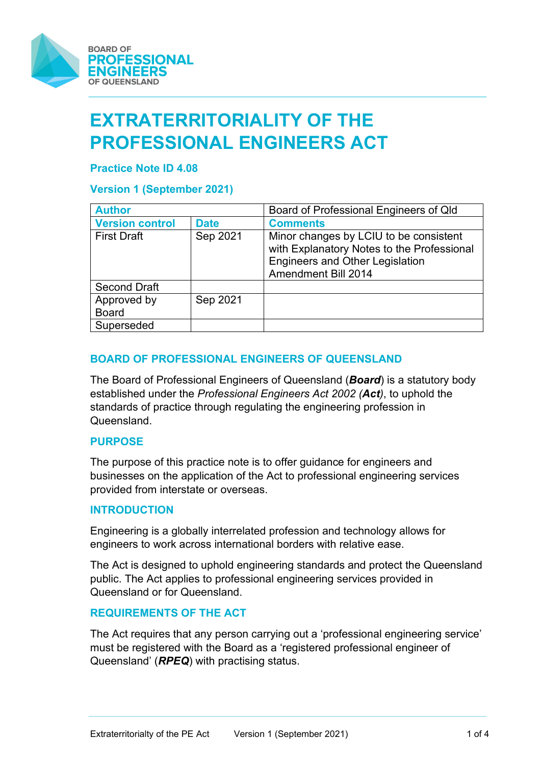

# **EXTRATERRITORIALITY OF THE PROFESSIONAL ENGINEERS ACT**

## **Practice Note ID 4.08**

# **Version 1 (September 2021)**

| <b>Author</b>               |             | Board of Professional Engineers of Qld                                                                                                                       |  |
|-----------------------------|-------------|--------------------------------------------------------------------------------------------------------------------------------------------------------------|--|
| <b>Version control</b>      | <b>Date</b> | <b>Comments</b>                                                                                                                                              |  |
| <b>First Draft</b>          | Sep 2021    | Minor changes by LCIU to be consistent<br>with Explanatory Notes to the Professional<br><b>Engineers and Other Legislation</b><br><b>Amendment Bill 2014</b> |  |
| <b>Second Draft</b>         |             |                                                                                                                                                              |  |
| Approved by<br><b>Board</b> | Sep 2021    |                                                                                                                                                              |  |
| Superseded                  |             |                                                                                                                                                              |  |

# **BOARD OF PROFESSIONAL ENGINEERS OF QUEENSLAND**

The Board of Professional Engineers of Queensland (*Board*) is a statutory body established under the *Professional Engineers Act 2002 (Act)*, to uphold the standards of practice through regulating the engineering profession in Queensland.

#### **PURPOSE**

The purpose of this practice note is to offer guidance for engineers and businesses on the application of the Act to professional engineering services provided from interstate or overseas.

#### **INTRODUCTION**

Engineering is a globally interrelated profession and technology allows for engineers to work across international borders with relative ease.

The Act is designed to uphold engineering standards and protect the Queensland public. The Act applies to professional engineering services provided in Queensland or for Queensland.

#### **REQUIREMENTS OF THE ACT**

The Act requires that any person carrying out a 'professional engineering service' must be registered with the Board as a 'registered professional engineer of Queensland' (*RPEQ*) with practising status.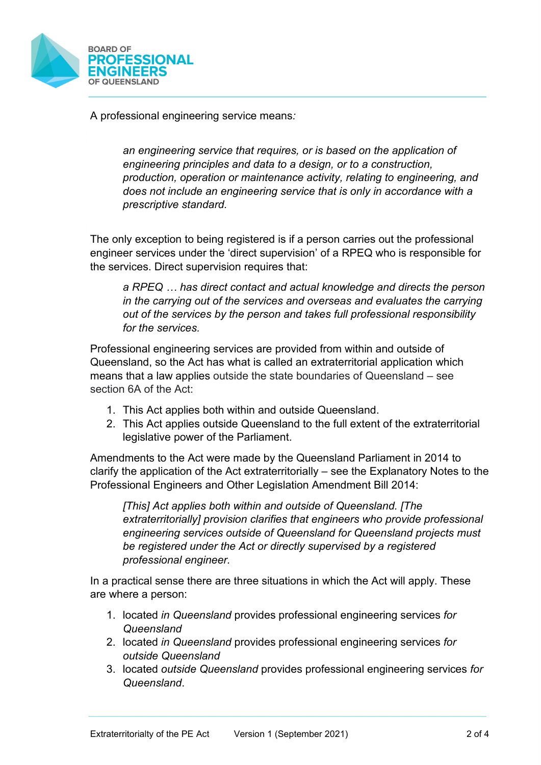

A professional engineering service means*:*

*an engineering service that requires, or is based on the application of engineering principles and data to a design, or to a construction, production, operation or maintenance activity, relating to engineering, and does not include an engineering service that is only in accordance with a prescriptive standard.*

The only exception to being registered is if a person carries out the professional engineer services under the 'direct supervision' of a RPEQ who is responsible for the services. Direct supervision requires that:

*a RPEQ … has direct contact and actual knowledge and directs the person in the carrying out of the services and overseas and evaluates the carrying out of the services by the person and takes full professional responsibility for the services.*

Professional engineering services are provided from within and outside of Queensland, so the Act has what is called an extraterritorial application which means that a law applies outside the state boundaries of Queensland – see section 6A of the Act:

- 1. This Act applies both within and outside Queensland.
- 2. This Act applies outside Queensland to the full extent of the extraterritorial legislative power of the Parliament.

Amendments to the Act were made by the Queensland Parliament in 2014 to clarify the application of the Act extraterritorially – see the Explanatory Notes to the Professional Engineers and Other Legislation Amendment Bill 2014:

*[This] Act applies both within and outside of Queensland. [The extraterritorially] provision clarifies that engineers who provide professional engineering services outside of Queensland for Queensland projects must be registered under the Act or directly supervised by a registered professional engineer.* 

In a practical sense there are three situations in which the Act will apply. These are where a person:

- 1. located *in Queensland* provides professional engineering services *for Queensland*
- 2. located *in Queensland* provides professional engineering services *for outside Queensland*
- 3. located *outside Queensland* provides professional engineering services *for Queensland*.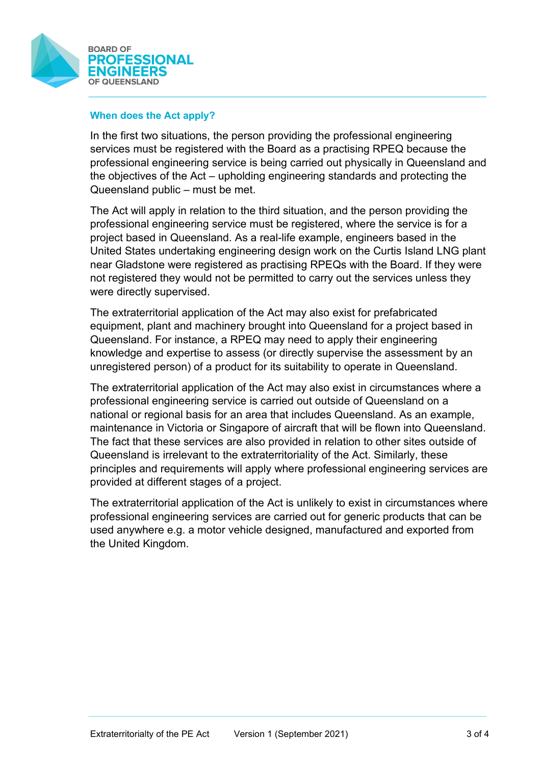

## **When does the Act apply?**

In the first two situations, the person providing the professional engineering services must be registered with the Board as a practising RPEQ because the professional engineering service is being carried out physically in Queensland and the objectives of the Act – upholding engineering standards and protecting the Queensland public – must be met.

The Act will apply in relation to the third situation, and the person providing the professional engineering service must be registered, where the service is for a project based in Queensland. As a real-life example, engineers based in the United States undertaking engineering design work on the Curtis Island LNG plant near Gladstone were registered as practising RPEQs with the Board. If they were not registered they would not be permitted to carry out the services unless they were directly supervised.

The extraterritorial application of the Act may also exist for prefabricated equipment, plant and machinery brought into Queensland for a project based in Queensland. For instance, a RPEQ may need to apply their engineering knowledge and expertise to assess (or directly supervise the assessment by an unregistered person) of a product for its suitability to operate in Queensland.

The extraterritorial application of the Act may also exist in circumstances where a professional engineering service is carried out outside of Queensland on a national or regional basis for an area that includes Queensland. As an example, maintenance in Victoria or Singapore of aircraft that will be flown into Queensland. The fact that these services are also provided in relation to other sites outside of Queensland is irrelevant to the extraterritoriality of the Act. Similarly, these principles and requirements will apply where professional engineering services are provided at different stages of a project.

The extraterritorial application of the Act is unlikely to exist in circumstances where professional engineering services are carried out for generic products that can be used anywhere e.g. a motor vehicle designed, manufactured and exported from the United Kingdom.